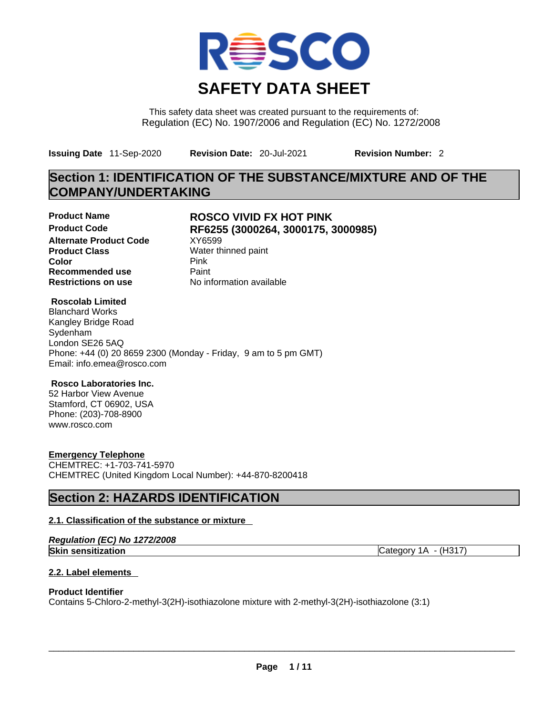

This safety data sheet was created pursuant to the requirements of: Regulation (EC) No. 1907/2006 and Regulation (EC) No. 1272/2008

**Issuing Date** 11-Sep-2020 **Revision Date:** 20-Jul-2021 **Revision Number:** 2

# **Section 1: IDENTIFICATION OF THE SUBSTANCE/MIXTURE AND OF THE COMPANY/UNDERTAKING**

**Alternate Product Code XY6599 Product Class Water thinned paint**<br> **Color Color** Pink **Recommended use** Paint **Restrictions on use** No information available

# **Product Name ROSCO VIVID FX HOT PINK Product Code RF6255 (3000264, 3000175, 3000985)**

# **Roscolab Limited**

Blanchard Works Kangley Bridge Road Sydenham London SE26 5AQ Phone: +44 (0) 20 8659 2300 (Monday - Friday, 9 am to 5 pm GMT) Email: info.emea@rosco.com

# **Rosco Laboratories Inc.**

52 Harbor View Avenue Stamford, CT 06902, USA Phone: (203)-708-8900 www.rosco.com

# **Emergency Telephone**

CHEMTREC: +1-703-741-5970 CHEMTREC (United Kingdom Local Number): +44-870-8200418

# **Section 2: HAZARDS IDENTIFICATION**

# **2.1. Classification of the substance or mixture**

|  |  | Regulation (EC) No 1272/2008 |
|--|--|------------------------------|
|--|--|------------------------------|

**Skin sensitization** Category 1A - (H317)

# **2.2. Label elements**

# **Product Identifier**

Contains 5-Chloro-2-methyl-3(2H)-isothiazolone mixture with 2-methyl-3(2H)-isothiazolone (3:1)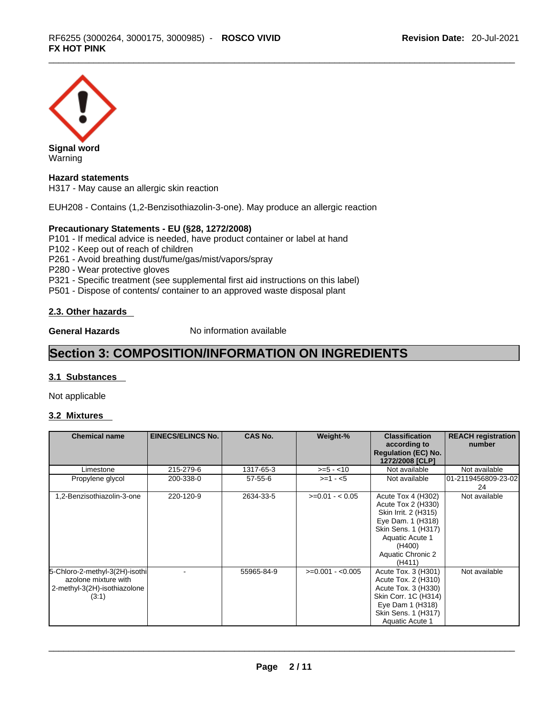

## **Hazard statements**

H317 - May cause an allergic skin reaction

EUH208 - Contains (1,2-Benzisothiazolin-3-one). May produce an allergic reaction

#### **Precautionary Statements - EU (§28, 1272/2008)**

P101 - If medical advice is needed, have product container or label at hand

P102 - Keep out of reach of children

P261 - Avoid breathing dust/fume/gas/mist/vapors/spray

P280 - Wear protective gloves

P321 - Specific treatment (see supplemental first aid instructions on this label)

P501 - Dispose of contents/ container to an approved waste disposal plant

#### **2.3. Other hazards**

**General Hazards No information available** 

# **Section 3: COMPOSITION/INFORMATION ON INGREDIENTS**

#### **3.1 Substances**

Not applicable

# **3.2 Mixtures**

| <b>Chemical name</b>                                                                            | <b>EINECS/ELINCS No.</b> | <b>CAS No.</b> | Weight-%          | <b>Classification</b><br>according to<br><b>Regulation (EC) No.</b><br>1272/2008 [CLP]                                                                                   | <b>REACH registration</b><br>number |
|-------------------------------------------------------------------------------------------------|--------------------------|----------------|-------------------|--------------------------------------------------------------------------------------------------------------------------------------------------------------------------|-------------------------------------|
| Limestone                                                                                       | 215-279-6                | 1317-65-3      | $>= 5 - 10$       | Not available                                                                                                                                                            | Not available                       |
| Propylene glycol                                                                                | 200-338-0                | $57 - 55 - 6$  | $>=1 - 5$         | Not available                                                                                                                                                            | 01-2119456809-23-02<br>24           |
| 1,2-Benzisothiazolin-3-one                                                                      | 220-120-9                | 2634-33-5      | $>=0.01 - 0.05$   | Acute Tox 4 (H302)<br>Acute Tox 2 (H330)<br>Skin Irrit. 2 (H315)<br>Eye Dam. 1 (H318)<br>Skin Sens. 1 (H317)<br>Aquatic Acute 1<br>(H400)<br>Aquatic Chronic 2<br>(H411) | Not available                       |
| 5-Chloro-2-methyl-3(2H)-isothi<br>azolone mixture with<br>2-methyl-3(2H)-isothiazolone<br>(3:1) |                          | 55965-84-9     | $>=0.001 - 0.005$ | Acute Tox. 3 (H301)<br>Acute Tox. 2 (H310)<br>Acute Tox. 3 (H330)<br>Skin Corr. 1C (H314)<br>Eye Dam 1 (H318)<br>Skin Sens. 1 (H317)<br>Aquatic Acute 1                  | Not available                       |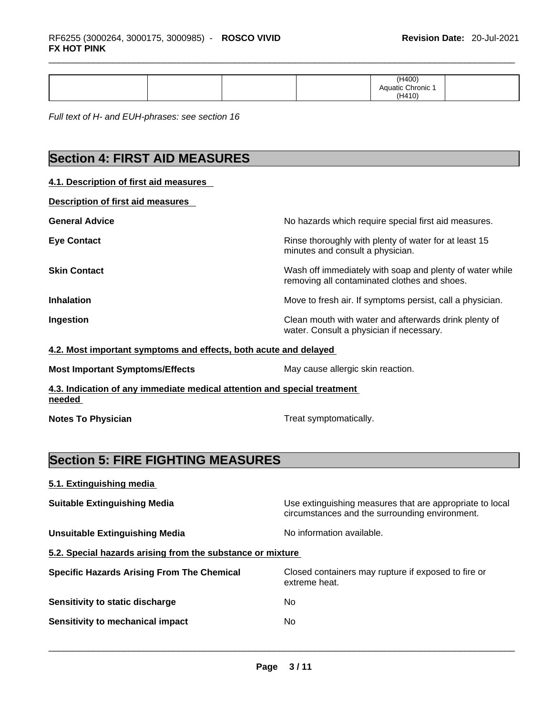|  |  |  |  | (H400)<br>. ` Aquatic Chronic<br>۱۹410۱<br>. |  |
|--|--|--|--|----------------------------------------------|--|
|--|--|--|--|----------------------------------------------|--|

*Full text of H- and EUH-phrases: see section 16* 

# **Section 4: FIRST AID MEASURES**

| 4.1. Description of first aid measures                           |                                                                                                          |
|------------------------------------------------------------------|----------------------------------------------------------------------------------------------------------|
| Description of first aid measures                                |                                                                                                          |
| <b>General Advice</b>                                            | No hazards which require special first aid measures.                                                     |
| <b>Eye Contact</b>                                               | Rinse thoroughly with plenty of water for at least 15<br>minutes and consult a physician.                |
| <b>Skin Contact</b>                                              | Wash off immediately with soap and plenty of water while<br>removing all contaminated clothes and shoes. |
| <b>Inhalation</b>                                                | Move to fresh air. If symptoms persist, call a physician.                                                |
| Ingestion                                                        | Clean mouth with water and afterwards drink plenty of<br>water. Consult a physician if necessary.        |
| 4.2. Most important symptoms and effects, both acute and delayed |                                                                                                          |
| <b>Most Important Symptoms/Effects</b>                           | May cause allergic skin reaction.                                                                        |
|                                                                  |                                                                                                          |

**4.3. Indication of any immediate medical attention and special treatment needed** 

**Notes To Physician Treat symptomatically.** 

# **Section 5: FIRE FIGHTING MEASURES**

# **5.1. Extinguishing media Suitable Extinguishing Media** Media Use extinguishing measures that are appropriate to local circumstances and the surrounding environment. **Unsuitable Extinguishing Media** Noinformation available. **5.2. Special hazards arising from the substance or mixture Specific Hazards Arising From The Chemical** Closed containers may rupture ifexposed to fire or extreme heat. **Sensitivity to static discharge** No **Sensitivity to mechanical impact** No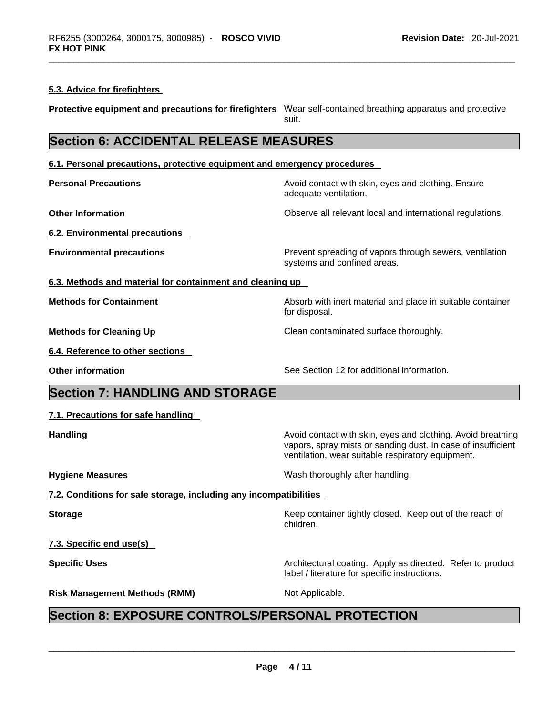#### **5.3. Advice for firefighters**

**Protective equipment and precautions for firefighters** Wear self-contained breathing apparatus and protective suit.

# **Section 6: ACCIDENTAL RELEASE MEASURES**

#### **6.1. Personal precautions, protective equipment and emergency procedures**

**Personal Precautions Avoid contact with skin, eyes and clothing. Ensure Personal Precautions** adequate ventilation. **Other Information Observe all relevant local and international regulations. 6.2. Environmental precautions Environmental precautions Environmental precautions Prevent spreading of vapors through sewers, ventilation** systems and confined areas. **6.3. Methods and material for containment and cleaning up Methods for Containment Absorb with inert material and place in suitable container** for disposal. **Methods for Cleaning Up Clean contaminated surface thoroughly.** 

**6.4. Reference to other sections** 

**Other information** See Section 12 for additional information.

label / literature for specific instructions.

# **Section 7: HANDLING AND STORAGE**

**Handling Handling Avoid contact with skin, eyes and clothing. Avoid breathing Handling A** vapors, spray mists or sanding dust. In case of insufficient ventilation, wear suitable respiratory equipment.

**Hygiene Measures**  Wash thoroughly after handling.

**7.2. Conditions for safe storage, including any incompatibilities**

**Storage Example 20 Keep container tightly closed. Keep out of the reach of Keep** out of the reach of

**7.3. Specific end use(s)** 

**Specific Uses <b>Specific Uses Architectural coating.** Apply as directed. Refer to product

children.

# **Risk Management Methods (RMM)** Not Applicable. \_\_\_\_\_\_\_\_\_\_\_\_\_\_\_\_\_\_\_\_\_\_\_\_\_\_\_\_\_\_\_\_\_\_\_\_\_\_\_\_\_\_\_\_\_\_\_\_\_\_\_\_\_\_\_\_\_\_\_\_\_\_\_\_\_\_\_\_\_\_\_\_\_\_\_\_\_\_\_\_\_\_\_\_\_\_\_\_\_\_\_\_\_ **Section 8: EXPOSURE CONTROLS/PERSONAL PROTECTION**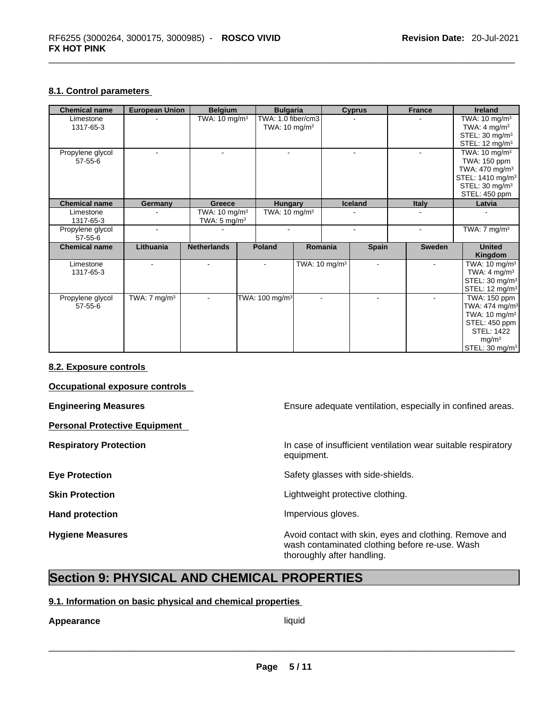# **8.1. Control parameters**

| <b>Chemical name</b> | <b>European Union</b>   | <b>Belgium</b>           | <b>Bulgaria</b>            |                          | <b>Cyprus</b> | France        | <b>Ireland</b>               |
|----------------------|-------------------------|--------------------------|----------------------------|--------------------------|---------------|---------------|------------------------------|
| Limestone            |                         | TWA: $10 \text{ mg/m}^3$ | TWA: 1.0 fiber/cm3         |                          |               |               | TWA: $10 \text{ mg/m}^3$     |
| 1317-65-3            |                         |                          | TWA: $10 \text{ mg/m}^3$   |                          |               |               | TWA: 4 mg/m <sup>3</sup>     |
|                      |                         |                          |                            |                          |               |               | STEL: 30 mg/m <sup>3</sup>   |
|                      |                         |                          |                            |                          |               |               | STEL: 12 mg/m <sup>3</sup>   |
| Propylene glycol     |                         |                          |                            |                          |               |               | TWA: $10 \text{ mg/m}^3$     |
| $57 - 55 - 6$        |                         |                          |                            |                          |               |               | TWA: 150 ppm                 |
|                      |                         |                          |                            |                          |               |               | TWA: 470 mg/m <sup>3</sup>   |
|                      |                         |                          |                            |                          |               |               | STEL: 1410 mg/m <sup>3</sup> |
|                      |                         |                          |                            |                          |               |               | STEL: $30 \text{ mg/m}^3$    |
|                      |                         |                          |                            |                          |               |               | STEL: 450 ppm                |
| <b>Chemical name</b> | Germany                 | <b>Greece</b>            | <b>Hungary</b>             |                          | Iceland       | <b>Italy</b>  | Latvia                       |
| Limestone            |                         | TWA: $10 \text{ mg/m}^3$ | TWA: 10 mg/m <sup>3</sup>  |                          |               |               |                              |
| 1317-65-3            |                         | TWA: $5 \text{ mg/m}^3$  |                            |                          |               |               |                              |
| Propylene glycol     |                         |                          |                            |                          |               |               | TWA: $7 \text{ mg/m}^3$      |
| $57 - 55 - 6$        |                         |                          |                            |                          |               |               |                              |
| <b>Chemical name</b> | Lithuania               | <b>Netherlands</b>       | <b>Poland</b>              | Romania                  | <b>Spain</b>  | <b>Sweden</b> | <b>United</b>                |
|                      |                         |                          |                            |                          |               |               | Kingdom                      |
| Limestone            |                         |                          |                            | TWA: $10 \text{ mg/m}^3$ | $\sim$        |               | TWA: $10 \text{ mg/m}^3$     |
| 1317-65-3            |                         |                          |                            |                          |               |               | TWA: $4 \text{ mg/m}^3$      |
|                      |                         |                          |                            |                          |               |               | STEL: 30 mg/m <sup>3</sup>   |
|                      |                         |                          |                            |                          |               |               | STEL: 12 mg/m <sup>3</sup>   |
| Propylene glycol     | TWA: $7 \text{ mg/m}^3$ |                          | TWA: 100 mg/m <sup>3</sup> | $\blacksquare$           |               |               | TWA: 150 ppm                 |
| $57 - 55 - 6$        |                         |                          |                            |                          |               |               | TWA: $474$ mg/m <sup>3</sup> |
|                      |                         |                          |                            |                          |               |               | TWA: $10 \text{ mg/m}^3$     |
|                      |                         |                          |                            |                          |               |               | STEL: 450 ppm                |
|                      |                         |                          |                            |                          |               |               | <b>STEL: 1422</b>            |
|                      |                         |                          |                            |                          |               |               | mg/m <sup>3</sup>            |
|                      |                         |                          |                            |                          |               |               | STEL: 30 mg/m <sup>3</sup>   |

## **8.2. Exposure controls**

**Occupational exposure controls** 

**Personal Protective Equipment** 

**Engineering Measures Ensure 2018** Ensure adequate ventilation, especially in confined areas.

**Respiratory Protection In case of insufficient ventilation wear suitable respiratory** equipment.

**Eye Protection <b>Exercise Exercise** Safety glasses with side-shields.

**Skin Protection Contract Contract Contract Contract Contract Contract Contract Contract Contract Contract Contract Contract Contract Contract Contract Contract Contract Contract Contract Contract Contract Contract Contr** 

Hand protection **Impervious** gloves.

**Hygiene Measures Avoid contact with skin, eyes and clothing. Remove and Avoid contact with skin, eyes and clothing. Remove and** wash contaminated clothing before re-use. Wash thoroughly after handling.

# **Section 9: PHYSICAL AND CHEMICAL PROPERTIES**

# **9.1. Information on basic physical and chemical properties**

# **Appearance** liquid \_\_\_\_\_\_\_\_\_\_\_\_\_\_\_\_\_\_\_\_\_\_\_\_\_\_\_\_\_\_\_\_\_\_\_\_\_\_\_\_\_\_\_\_\_\_\_\_\_\_\_\_\_\_\_\_\_\_\_\_\_\_\_\_\_\_\_\_\_\_\_\_\_\_\_\_\_\_\_\_\_\_\_\_\_\_\_\_\_\_\_\_\_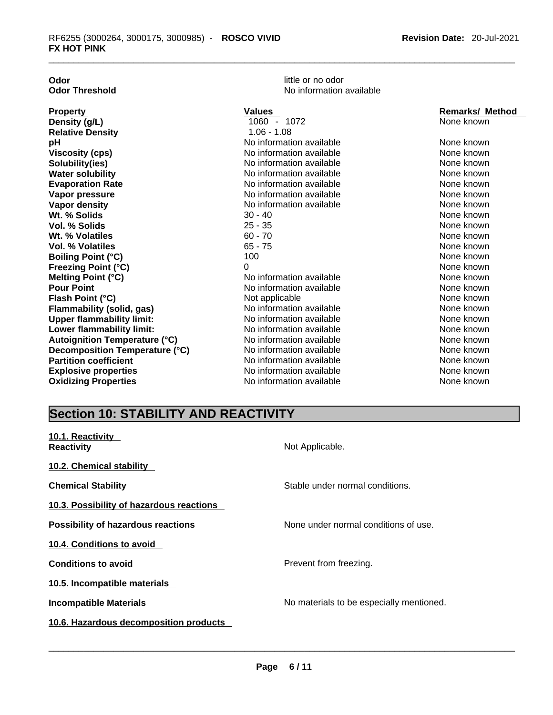| Odor                                 |
|--------------------------------------|
| <b>Odor Threshold</b>                |
|                                      |
| <b>Property</b>                      |
| Density (g/L)                        |
| <b>Relative Density</b>              |
| рH                                   |
| <b>Viscosity (cps)</b>               |
| Solubility(ies)                      |
| <b>Water solubility</b>              |
| <b>Evaporation Rate</b>              |
| Vapor pressure                       |
| Vapor density                        |
| Wt. % Solids                         |
| <b>Vol. % Solids</b>                 |
| Wt. % Volatiles                      |
| Vol. % Volatiles                     |
| <b>Boiling Point (°C)</b>            |
| <b>Freezing Point (°C)</b>           |
| <b>Melting Point (°C)</b>            |
| <b>Pour Point</b>                    |
| Flash Point (°C)                     |
| <b>Flammability (solid, gas)</b>     |
| <b>Upper flammability limit:</b>     |
| Lower flammability limit:            |
| <b>Autoignition Temperature (°C)</b> |

little or no odor **No information available** 

| <b>Property</b>                      | <b>Values</b>            | <b>Remarks/ Method</b> |
|--------------------------------------|--------------------------|------------------------|
| Density (g/L)                        | 1060 - 1072              | None known             |
| <b>Relative Density</b>              | $1.06 - 1.08$            |                        |
| рH                                   | No information available | None known             |
| <b>Viscosity (cps)</b>               | No information available | None known             |
| Solubility(ies)                      | No information available | None known             |
| <b>Water solubility</b>              | No information available | None known             |
| <b>Evaporation Rate</b>              | No information available | None known             |
| Vapor pressure                       | No information available | None known             |
| Vapor density                        | No information available | None known             |
| Wt. % Solids                         | 30 - 40                  | None known             |
| Vol. % Solids                        | 25 - 35                  | None known             |
| Wt. % Volatiles                      | $60 - 70$                | None known             |
| <b>Vol. % Volatiles</b>              | $65 - 75$                | None known             |
| <b>Boiling Point (°C)</b>            | 100                      | None known             |
| <b>Freezing Point (°C)</b>           | 0                        | None known             |
| <b>Melting Point (°C)</b>            | No information available | None known             |
| <b>Pour Point</b>                    | No information available | None known             |
| Flash Point (°C)                     | Not applicable           | None known             |
| <b>Flammability (solid, gas)</b>     | No information available | None known             |
| <b>Upper flammability limit:</b>     | No information available | None known             |
| Lower flammability limit:            | No information available | None known             |
| <b>Autoignition Temperature (°C)</b> | No information available | None known             |
| Decomposition Temperature (°C)       | No information available | None known             |
| <b>Partition coefficient</b>         | No information available | None known             |
| <b>Explosive properties</b>          | No information available | None known             |
| <b>Oxidizing Properties</b>          | No information available | None known             |

# **Section 10: STABILITY AND REACTIVITY**

| 10.1. Reactivity<br><b>Reactivity</b>     | Not Applicable.                          |
|-------------------------------------------|------------------------------------------|
| 10.2. Chemical stability                  |                                          |
| <b>Chemical Stability</b>                 | Stable under normal conditions.          |
| 10.3. Possibility of hazardous reactions  |                                          |
| <b>Possibility of hazardous reactions</b> | None under normal conditions of use.     |
| 10.4. Conditions to avoid                 |                                          |
| <b>Conditions to avoid</b>                | Prevent from freezing.                   |
| 10.5. Incompatible materials              |                                          |
| <b>Incompatible Materials</b>             | No materials to be especially mentioned. |
| 10.6. Hazardous decomposition products    |                                          |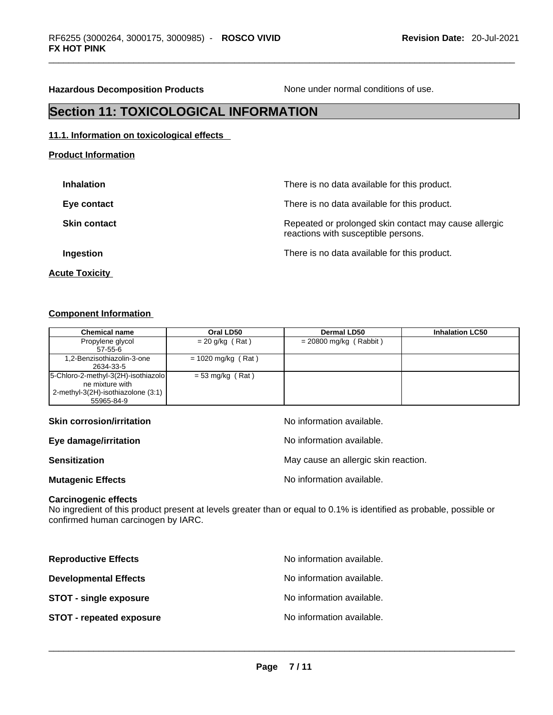**Hazardous Decomposition Products** None under normal conditions of use.

# **Section 11: TOXICOLOGICAL INFORMATION**

#### **11.1. Information on toxicological effects**

| <b>Inhalation</b>     | There is no data available for this product.                                                 |
|-----------------------|----------------------------------------------------------------------------------------------|
| Eye contact           | There is no data available for this product.                                                 |
| <b>Skin contact</b>   | Repeated or prolonged skin contact may cause allergic<br>reactions with susceptible persons. |
| Ingestion             | There is no data available for this product.                                                 |
| <b>Acute Toxicity</b> |                                                                                              |

# **Component Information**

**Product Information**

| <b>Chemical name</b>                  | Oral LD50            | Dermal LD50              | <b>Inhalation LC50</b> |
|---------------------------------------|----------------------|--------------------------|------------------------|
| Propylene glycol                      | $= 20$ g/kg (Rat)    | $= 20800$ mg/kg (Rabbit) |                        |
| $57-55-6$                             |                      |                          |                        |
| 1.2-Benzisothiazolin-3-one            | $= 1020$ mg/kg (Rat) |                          |                        |
| 2634-33-5                             |                      |                          |                        |
| [5-Chloro-2-methyl-3(2H)-isothiazolo] | $= 53$ mg/kg (Rat)   |                          |                        |
| ne mixture with                       |                      |                          |                        |
| 2-methyl-3(2H)-isothiazolone (3:1)    |                      |                          |                        |
| 55965-84-9                            |                      |                          |                        |

| <b>Skin corrosion/irritation</b> | No information available.            |
|----------------------------------|--------------------------------------|
| Eye damage/irritation            | No information available.            |
| <b>Sensitization</b>             | May cause an allergic skin reaction. |
| <b>Mutagenic Effects</b>         | No information available.            |

#### **Carcinogenic effects**

No ingredient of this product present at levels greater than or equal to 0.1% is identified as probable, possible or confirmed human carcinogen by IARC.

| No information available. |
|---------------------------|
| No information available. |
| No information available. |
| No information available. |
|                           |
|                           |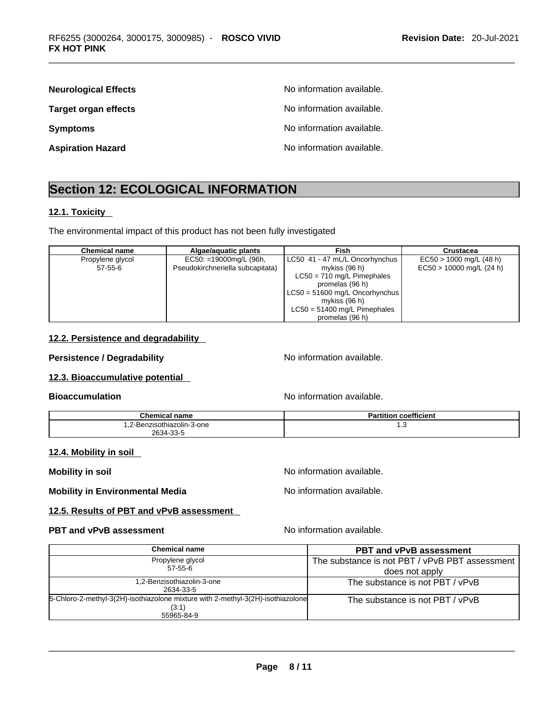| <b>Neurological Effects</b> | No information available. |
|-----------------------------|---------------------------|
| <b>Target organ effects</b> | No information available. |
| <b>Symptoms</b>             | No information available. |
| <b>Aspiration Hazard</b>    | No information available. |

# **Section 12: ECOLOGICAL INFORMATION**

## **12.1. Toxicity**

The environmental impact of this product has not been fully investigated

| <b>Chemical name</b> | Algae/aguatic plants             | Fish                             | Crustacea                  |
|----------------------|----------------------------------|----------------------------------|----------------------------|
| Propylene glycol     | $EC50: =19000mg/L$ (96h,         | LC50 41 - 47 mL/L Oncorhynchus   | $EC50 > 1000$ mg/L (48 h)  |
| $57 - 55 - 6$        | Pseudokirchneriella subcapitata) | mykiss $(96 h)$                  | $EC50 > 10000$ mg/L (24 h) |
|                      |                                  | $LC50 = 710$ mg/L Pimephales     |                            |
|                      |                                  | promelas (96 h)                  |                            |
|                      |                                  | $LC50 = 51600$ mg/L Oncorhynchus |                            |
|                      |                                  | mykiss (96 h)                    |                            |
|                      |                                  | $LC50 = 51400$ mg/L Pimephales   |                            |
|                      |                                  | promelas (96 h)                  |                            |

## **12.2. Persistence and degradability**

# **Persistence / Degradability No information available.**

**12.3. Bioaccumulative potential** 

**Bioaccumulation Bioaccumulation Bioaccumulation** 

| <b>Chemical name</b>               | coefficient<br><b>Partition</b> |
|------------------------------------|---------------------------------|
| 2-Benzisothiazolin-3-one<br><br>__ | ن. ا                            |
| 2634-33-5                          |                                 |

## **12.4. Mobility in soil**

**Mobility** in soil **Mobility** in soil

**Mobility in Environmental Media** Noinformation available.

## **12.5. Results of PBT and vPvB assessment**

# **PBT** and **vPvB** assessment No information available.

| Chemical name                                                                   | <b>PBT and vPvB assessment</b>                 |
|---------------------------------------------------------------------------------|------------------------------------------------|
| Propylene glycol                                                                | The substance is not PBT / vPvB PBT assessment |
| $57 - 55 - 6$                                                                   | does not apply                                 |
| 1,2-Benzisothiazolin-3-one                                                      | The substance is not PBT / vPvB                |
| 2634-33-5                                                                       |                                                |
| 5-Chloro-2-methyl-3(2H)-isothiazolone mixture with 2-methyl-3(2H)-isothiazolone | The substance is not PBT / vPvB                |
| (3:1)                                                                           |                                                |
| 55965-84-9                                                                      |                                                |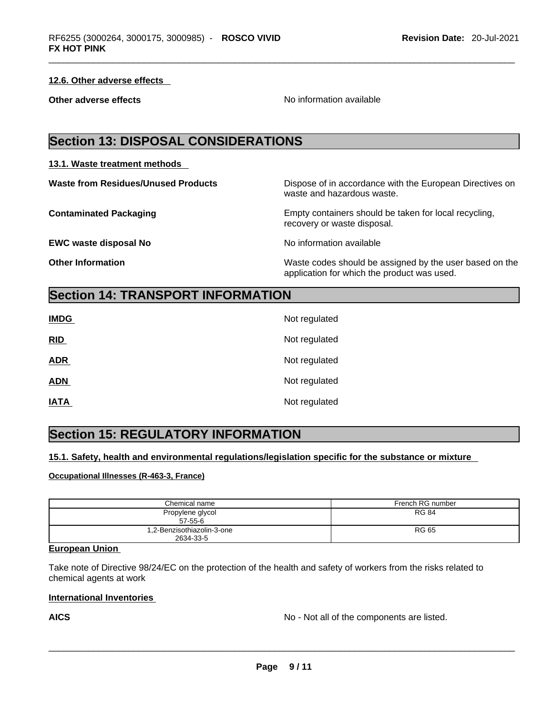# **12.6. Other adverse effects**

**Other adverse effects No information available Other adverse effects** 

# **Section 13: DISPOSAL CONSIDERATIONS**

## **13.1. Waste treatment methods**

**EWC waste disposal No No information available No information available** 

**Waste from Residues/Unused Products** Dispose of in accordance with the European Directives on waste and hazardous waste.

**Contaminated Packaging** Empty containers should be taken for local recycling, recovery or waste disposal.

**Other Information** Waste codes should be assigned by the user based on the application for which the product was used.

# **Section 14: TRANSPORT INFORMATION**

| <b>IMDG</b> | Not regulated |
|-------------|---------------|
| RID         | Not regulated |
| <b>ADR</b>  | Not regulated |
| <b>ADN</b>  | Not regulated |
| <b>IATA</b> | Not regulated |

# **Section 15: REGULATORY INFORMATION**

**15.1. Safety, health and environmental regulations/legislation specific for the substance or mixture**

## **Occupational Illnesses (R-463-3, France)**

| Chemical name                           | French RG number |
|-----------------------------------------|------------------|
| Propylene glycol<br>$57-55-6$           | <b>RG 84</b>     |
| 1,2-Benzisothiazolin-3-one<br>2634-33-5 | <b>RG 65</b>     |

# **European Union**

Take note of Directive 98/24/EC on the protection of the health and safety of workers from the risks related to chemical agents at work

## **International Inventories**

**AICS** No - Not all of the components are listed.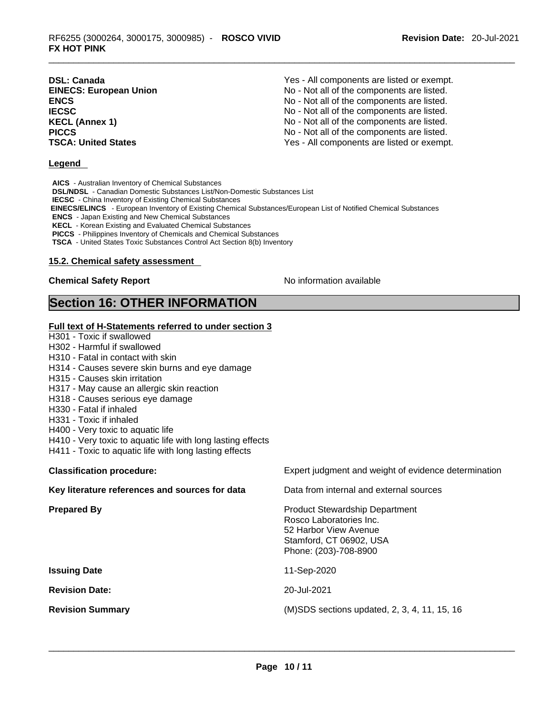| <b>DSL: Canada</b>            | Yes - All components are listed or exempt. |
|-------------------------------|--------------------------------------------|
| <b>EINECS: European Union</b> | No - Not all of the components are listed. |
| <b>ENCS</b>                   | No - Not all of the components are listed. |
| <b>IECSC</b>                  | No - Not all of the components are listed. |
| <b>KECL (Annex 1)</b>         | No - Not all of the components are listed. |
| <b>PICCS</b>                  | No - Not all of the components are listed. |
| <b>TSCA: United States</b>    | Yes - All components are listed or exempt. |

#### **Legend**

**AICS** - Australian Inventory of Chemical Substances **DSL/NDSL** - Canadian Domestic Substances List/Non-Domestic Substances List **IECSC** - China Inventory of Existing Chemical Substances  **EINECS/ELINCS** - European Inventory of Existing Chemical Substances/European List of Notified Chemical Substances **ENCS** - Japan Existing and New Chemical Substances **KECL** - Korean Existing and Evaluated Chemical Substances **PICCS** - Philippines Inventory of Chemicals and Chemical Substances **TSCA** - United States Toxic Substances Control Act Section 8(b) Inventory

#### **15.2. Chemical safety assessment**

# **Chemical Safety Report Chemical Safety Report No information available**

# **Section 16: OTHER INFORMATION**

**Full text of H-Statements referred to under section 3** H301 - Toxic if swallowed H302 - Harmful if swallowed H310 - Fatal in contact with skin H314 - Causes severe skin burns and eye damage H315 - Causes skin irritation H317 - May cause an allergic skin reaction H318 - Causes serious eye damage H330 - Fatal if inhaled H331 - Toxic if inhaled H400 - Very toxic to aquatic life H410 - Very toxic to aquatic life with long lasting effects H411 - Toxic to aquatic life with long lasting effects **Classification procedure:** Expert judgment and weight of evidence determination **Key literature references and sources for data** Data from internal and external sources **Prepared By Product Stewardship Department** Rosco Laboratories Inc. 52 Harbor View Avenue Stamford, CT 06902, USA Phone: (203)-708-8900 **Issuing Date** 11-Sep-2020 **Revision Date:** 20-Jul-2021 **Revision Summary** (M)SDS sections updated, 2, 3, 4, 11, 15, 16 \_\_\_\_\_\_\_\_\_\_\_\_\_\_\_\_\_\_\_\_\_\_\_\_\_\_\_\_\_\_\_\_\_\_\_\_\_\_\_\_\_\_\_\_\_\_\_\_\_\_\_\_\_\_\_\_\_\_\_\_\_\_\_\_\_\_\_\_\_\_\_\_\_\_\_\_\_\_\_\_\_\_\_\_\_\_\_\_\_\_\_\_\_